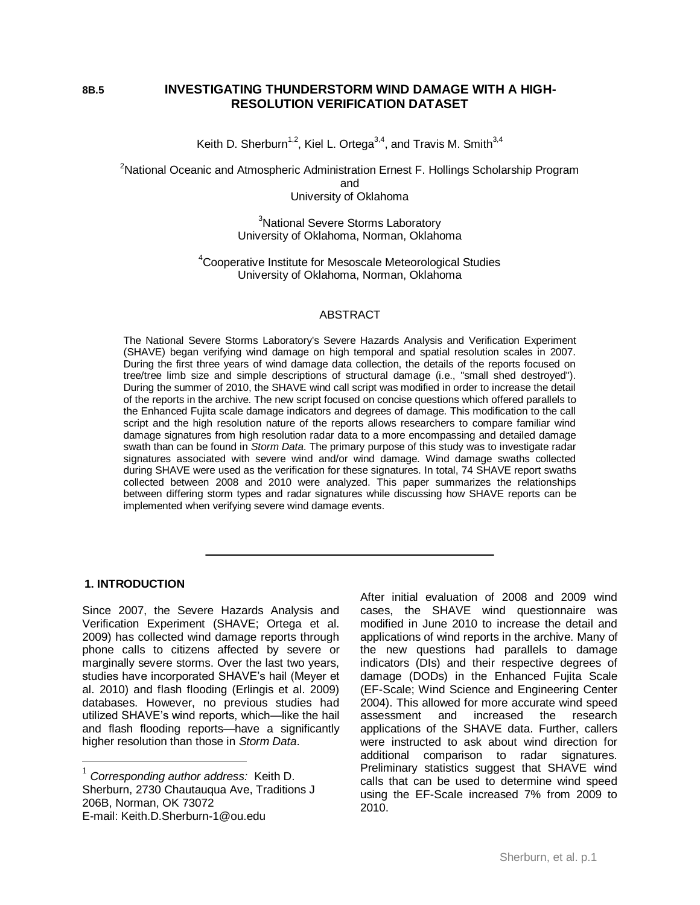## **8B.5 INVESTIGATING THUNDERSTORM WIND DAMAGE WITH A HIGH-RESOLUTION VERIFICATION DATASET**

Keith D. Sherburn<sup>1,2</sup>, Kiel L. Ortega<sup>3,4</sup>, and Travis M. Smith<sup>3,4</sup>

<sup>2</sup>National Oceanic and Atmospheric Administration Ernest F. Hollings Scholarship Program and University of Oklahoma

> <sup>3</sup>National Severe Storms Laboratory University of Oklahoma, Norman, Oklahoma

<sup>4</sup>Cooperative Institute for Mesoscale Meteorological Studies University of Oklahoma, Norman, Oklahoma

#### ABSTRACT

The National Severe Storms Laboratory's Severe Hazards Analysis and Verification Experiment (SHAVE) began verifying wind damage on high temporal and spatial resolution scales in 2007. During the first three years of wind damage data collection, the details of the reports focused on tree/tree limb size and simple descriptions of structural damage (i.e., "small shed destroyed"). During the summer of 2010, the SHAVE wind call script was modified in order to increase the detail of the reports in the archive. The new script focused on concise questions which offered parallels to the Enhanced Fujita scale damage indicators and degrees of damage. This modification to the call script and the high resolution nature of the reports allows researchers to compare familiar wind damage signatures from high resolution radar data to a more encompassing and detailed damage swath than can be found in *Storm Data*. The primary purpose of this study was to investigate radar signatures associated with severe wind and/or wind damage. Wind damage swaths collected during SHAVE were used as the verification for these signatures. In total, 74 SHAVE report swaths collected between 2008 and 2010 were analyzed. This paper summarizes the relationships between differing storm types and radar signatures while discussing how SHAVE reports can be implemented when verifying severe wind damage events.

## **. 1. INTRODUCTION**

 $\overline{a}$ 

Since 2007, the Severe Hazards Analysis and Verification Experiment (SHAVE; Ortega et al. 2009) has collected wind damage reports through phone calls to citizens affected by severe or marginally severe storms. Over the last two years, studies have incorporated SHAVE's hail (Meyer et al. 2010) and flash flooding (Erlingis et al. 2009) databases. However, no previous studies had utilized SHAVE's wind reports, which—like the hail and flash flooding reports—have a significantly higher resolution than those in *Storm Data*.

After initial evaluation of 2008 and 2009 wind cases, the SHAVE wind questionnaire was modified in June 2010 to increase the detail and applications of wind reports in the archive. Many of the new questions had parallels to damage indicators (DIs) and their respective degrees of damage (DODs) in the Enhanced Fujita Scale (EF-Scale; Wind Science and Engineering Center 2004). This allowed for more accurate wind speed assessment and increased the research applications of the SHAVE data. Further, callers were instructed to ask about wind direction for additional comparison to radar signatures. Preliminary statistics suggest that SHAVE wind calls that can be used to determine wind speed using the EF-Scale increased 7% from 2009 to 2010.

<sup>1</sup> *Corresponding author address:* Keith D. Sherburn, 2730 Chautauqua Ave, Traditions J 206B, Norman, OK 73072 E-mail: Keith.D.Sherburn-1@ou.edu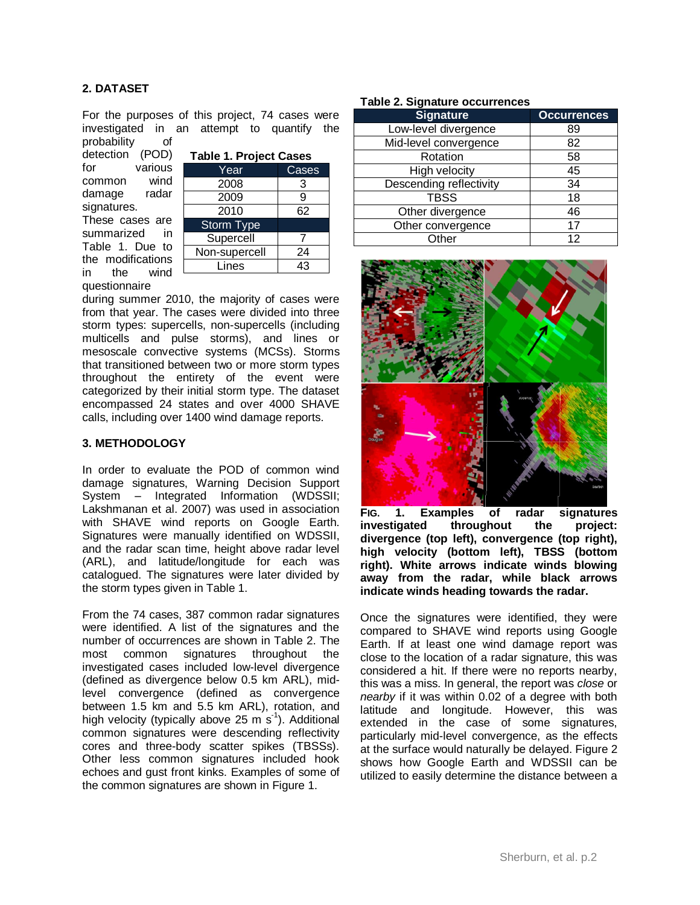# **2. DATASET**

For the purposes of this project, 74 cases were investigated in an attempt to quantify the probability of

detection (POD) for various common wind damage radar signatures. These cases are

summarized in Table 1. Due to the modifications in the wind questionnaire

| <b>Table 1. Project Cases</b> |       |  |  |  |
|-------------------------------|-------|--|--|--|
| Year                          | Cases |  |  |  |
| 2008                          | 3     |  |  |  |
| 2009                          | g     |  |  |  |
| 2010                          | 62    |  |  |  |
| <b>Storm Type</b>             |       |  |  |  |
| Supercell                     |       |  |  |  |
| Non-supercell                 | 24    |  |  |  |
| Lines                         | 43    |  |  |  |

during summer 2010, the majority of cases were from that year. The cases were divided into three storm types: supercells, non-supercells (including multicells and pulse storms), and lines or mesoscale convective systems (MCSs). Storms that transitioned between two or more storm types throughout the entirety of the event were categorized by their initial storm type. The dataset encompassed 24 states and over 4000 SHAVE calls, including over 1400 wind damage reports.

### **3. METHODOLOGY**

In order to evaluate the POD of common wind damage signatures, Warning Decision Support System – Integrated Information (WDSSII; Lakshmanan et al. 2007) was used in association with SHAVE wind reports on Google Earth. Signatures were manually identified on WDSSII, and the radar scan time, height above radar level (ARL), and latitude/longitude for each was catalogued. The signatures were later divided by the storm types given in Table 1.

From the 74 cases, 387 common radar signatures were identified. A list of the signatures and the number of occurrences are shown in Table 2. The most common signatures throughout the investigated cases included low-level divergence (defined as divergence below 0.5 km ARL), midlevel convergence (defined as convergence between 1.5 km and 5.5 km ARL), rotation, and high velocity (typically above 25 m  $s<sup>-1</sup>$ ). Additional common signatures were descending reflectivity cores and three-body scatter spikes (TBSSs). Other less common signatures included hook echoes and gust front kinks. Examples of some of the common signatures are shown in Figure 1.

## **Table 2. Signature occurrences**

| <b>Signature</b>        | <b>Occurrences</b> |  |  |
|-------------------------|--------------------|--|--|
| Low-level divergence    | 89                 |  |  |
| Mid-level convergence   | 82                 |  |  |
| Rotation                | 58                 |  |  |
| High velocity           | 45                 |  |  |
| Descending reflectivity | 34                 |  |  |
| <b>TBSS</b>             | 18                 |  |  |
| Other divergence        | 46                 |  |  |
| Other convergence       | 17                 |  |  |
| Other                   | 12                 |  |  |



**FIG. 1. Examples of radar signatures investigated throughout the project: divergence (top left), convergence (top right), high velocity (bottom left), TBSS (bottom right). White arrows indicate winds blowing away from the radar, while black arrows indicate winds heading towards the radar.**

Once the signatures were identified, they were compared to SHAVE wind reports using Google Earth. If at least one wind damage report was close to the location of a radar signature, this was considered a hit. If there were no reports nearby, this was a miss. In general, the report was *close* or *nearby* if it was within 0.02 of a degree with both latitude and longitude. However, this was extended in the case of some signatures, particularly mid-level convergence, as the effects at the surface would naturally be delayed. Figure 2 shows how Google Earth and WDSSII can be utilized to easily determine the distance between a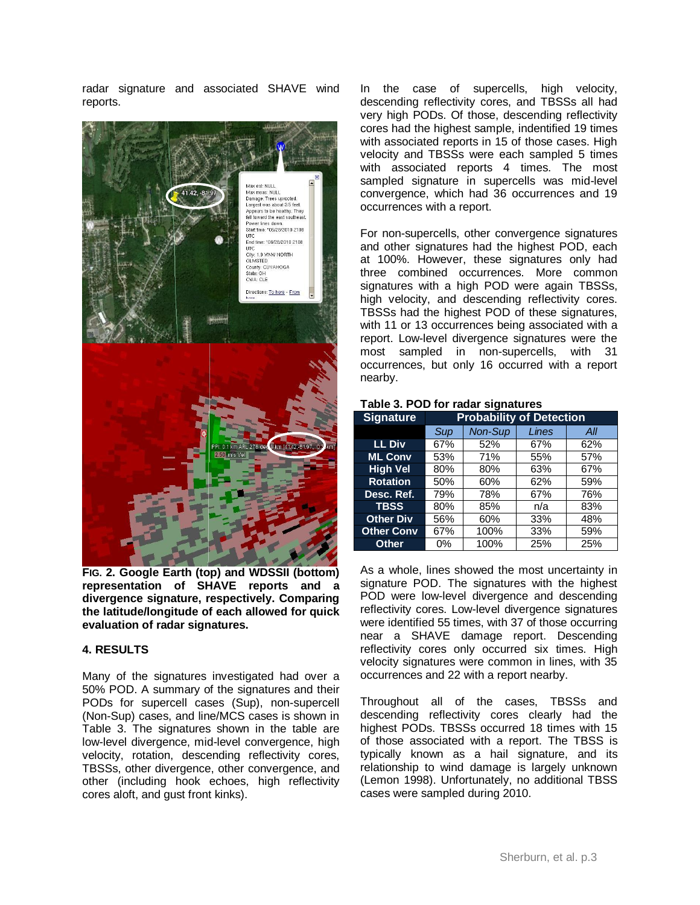radar signature and associated SHAVE wind reports.



**FIG. 2. Google Earth (top) and WDSSII (bottom) representation of SHAVE reports and a divergence signature, respectively. Comparing the latitude/longitude of each allowed for quick evaluation of radar signatures.**

#### **4. RESULTS**

Many of the signatures investigated had over a 50% POD. A summary of the signatures and their PODs for supercell cases (Sup), non-supercell (Non-Sup) cases, and line/MCS cases is shown in Table 3. The signatures shown in the table are low-level divergence, mid-level convergence, high velocity, rotation, descending reflectivity cores, TBSSs, other divergence, other convergence, and other (including hook echoes, high reflectivity cores aloft, and gust front kinks).

In the case of supercells, high velocity, descending reflectivity cores, and TBSSs all had very high PODs. Of those, descending reflectivity cores had the highest sample, indentified 19 times with associated reports in 15 of those cases. High velocity and TBSSs were each sampled 5 times with associated reports 4 times. The most sampled signature in supercells was mid-level convergence, which had 36 occurrences and 19 occurrences with a report.

For non-supercells, other convergence signatures and other signatures had the highest POD, each at 100%. However, these signatures only had three combined occurrences. More common signatures with a high POD were again TBSSs, high velocity, and descending reflectivity cores. TBSSs had the highest POD of these signatures, with 11 or 13 occurrences being associated with a report. Low-level divergence signatures were the most sampled in non-supercells, with 31 occurrences, but only 16 occurred with a report nearby.

|  |  |  |  | Table 3. POD for radar signatures |
|--|--|--|--|-----------------------------------|
|--|--|--|--|-----------------------------------|

| <b>Signature</b>  | <b>Probability of Detection</b> |         |       |     |  |  |
|-------------------|---------------------------------|---------|-------|-----|--|--|
|                   | Sup                             | Non-Sup | Lines | All |  |  |
| <b>LL Div</b>     | 67%                             | 52%     | 67%   | 62% |  |  |
| <b>ML Conv</b>    | 53%                             | 71%     | 55%   | 57% |  |  |
| <b>High Vel</b>   | 80%                             | 80%     | 63%   | 67% |  |  |
| <b>Rotation</b>   | 50%                             | 60%     | 62%   | 59% |  |  |
| Desc. Ref.        | 79%                             | 78%     | 67%   | 76% |  |  |
| <b>TBSS</b>       | 80%                             | 85%     | n/a   | 83% |  |  |
| <b>Other Div</b>  | 56%                             | 60%     | 33%   | 48% |  |  |
| <b>Other Conv</b> | 67%                             | 100%    | 33%   | 59% |  |  |
| <b>Other</b>      | $0\%$                           | 100%    | 25%   | 25% |  |  |

As a whole, lines showed the most uncertainty in signature POD. The signatures with the highest POD were low-level divergence and descending reflectivity cores. Low-level divergence signatures were identified 55 times, with 37 of those occurring near a SHAVE damage report. Descending reflectivity cores only occurred six times. High velocity signatures were common in lines, with 35 occurrences and 22 with a report nearby.

Throughout all of the cases, TBSSs and descending reflectivity cores clearly had the highest PODs. TBSSs occurred 18 times with 15 of those associated with a report. The TBSS is typically known as a hail signature, and its relationship to wind damage is largely unknown (Lemon 1998). Unfortunately, no additional TBSS cases were sampled during 2010.